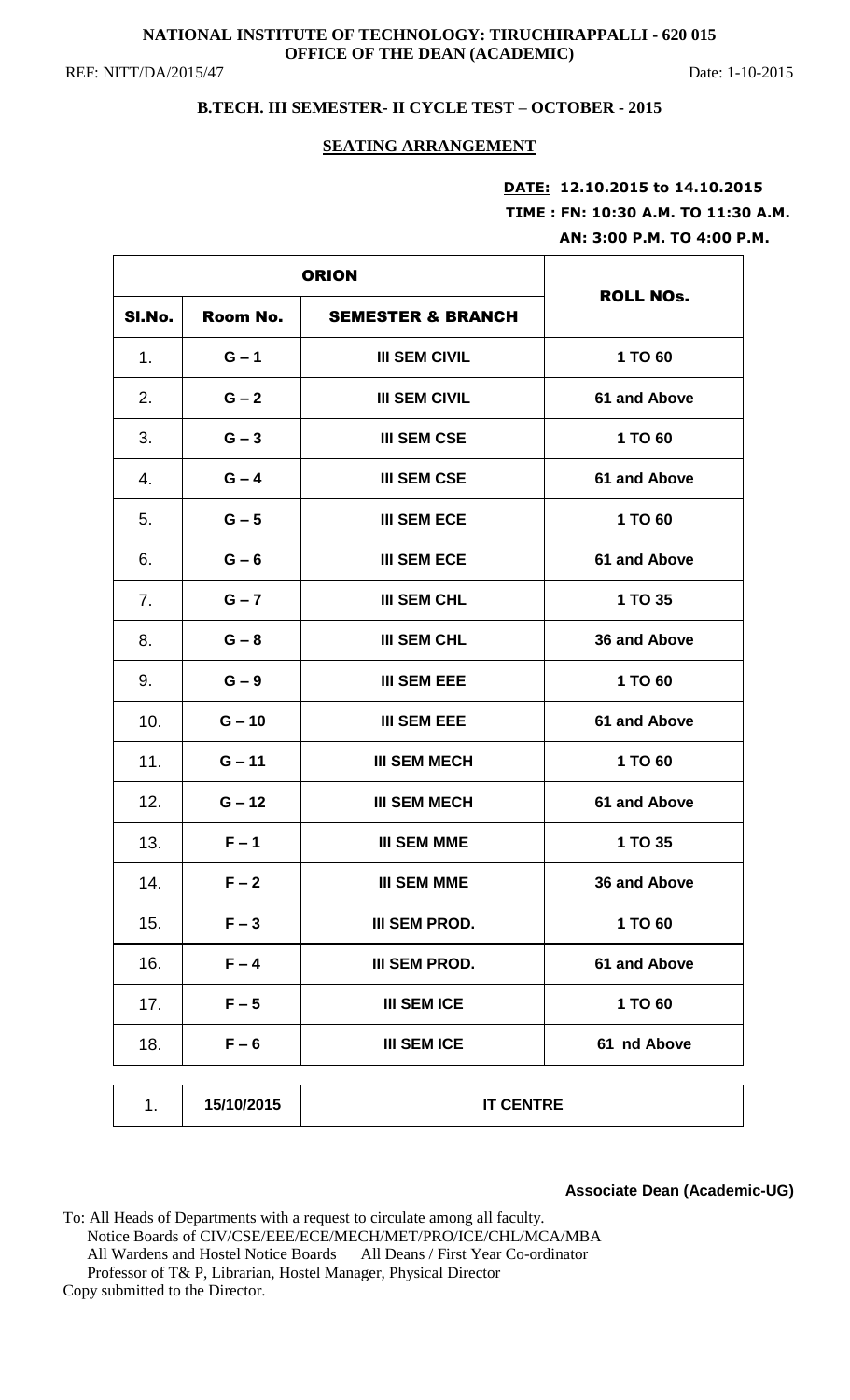# **NATIONAL INSTITUTE OF TECHNOLOGY: TIRUCHIRAPPALLI - 620 015 OFFICE OF THE DEAN (ACADEMIC)**

REF: NITT/DA/2015/47 Date: 1-10-2015

# **B.TECH. III SEMESTER- II CYCLE TEST – OCTOBER - 2015**

#### **SEATING ARRANGEMENT**

# **DATE: 12.10.2015 to 14.10.2015 TIME : FN: 10:30 A.M. TO 11:30 A.M. AN: 3:00 P.M. TO 4:00 P.M.**

| <b>ORION</b> |            |                              |                  |
|--------------|------------|------------------------------|------------------|
| SI.No.       | Room No.   | <b>SEMESTER &amp; BRANCH</b> | <b>ROLL NOs.</b> |
| 1.           | $G - 1$    | <b>III SEM CIVIL</b>         | 1 TO 60          |
| 2.           | $G - 2$    | <b>III SEM CIVIL</b>         | 61 and Above     |
| 3.           | $G - 3$    | <b>III SEM CSE</b>           | 1 TO 60          |
| 4.           | $G - 4$    | <b>III SEM CSE</b>           | 61 and Above     |
| 5.           | $G - 5$    | <b>III SEM ECE</b>           | 1 TO 60          |
| 6.           | $G - 6$    | <b>III SEM ECE</b>           | 61 and Above     |
| 7.           | $G - 7$    | <b>III SEM CHL</b>           | 1 TO 35          |
| 8.           | $G - 8$    | <b>III SEM CHL</b>           | 36 and Above     |
| 9.           | $G - 9$    | <b>III SEM EEE</b>           | 1 TO 60          |
| 10.          | $G - 10$   | <b>III SEM EEE</b>           | 61 and Above     |
| 11.          | $G - 11$   | <b>III SEM MECH</b>          | 1 TO 60          |
| 12.          | $G - 12$   | <b>III SEM MECH</b>          | 61 and Above     |
| 13.          | $F - 1$    | <b>III SEM MME</b>           | 1 TO 35          |
| 14.          | $F - 2$    | <b>III SEM MME</b>           | 36 and Above     |
| 15.          | $F - 3$    | <b>III SEM PROD.</b>         | 1 TO 60          |
| 16.          | $F - 4$    | <b>III SEM PROD.</b>         | 61 and Above     |
| 17.          | $F - 5$    | <b>III SEM ICE</b>           | 1 TO 60          |
| 18.          | $F - 6$    | <b>III SEM ICE</b>           | 61 nd Above      |
| 1.           | 15/10/2015 | <b>IT CENTRE</b>             |                  |

**Associate Dean (Academic-UG)**

To: All Heads of Departments with a request to circulate among all faculty. Notice Boards of CIV/CSE/EEE/ECE/MECH/MET/PRO/ICE/CHL/MCA/MBA All Wardens and Hostel Notice Boards All Deans / First Year Co-ordinator Professor of T& P, Librarian, Hostel Manager, Physical Director Copy submitted to the Director.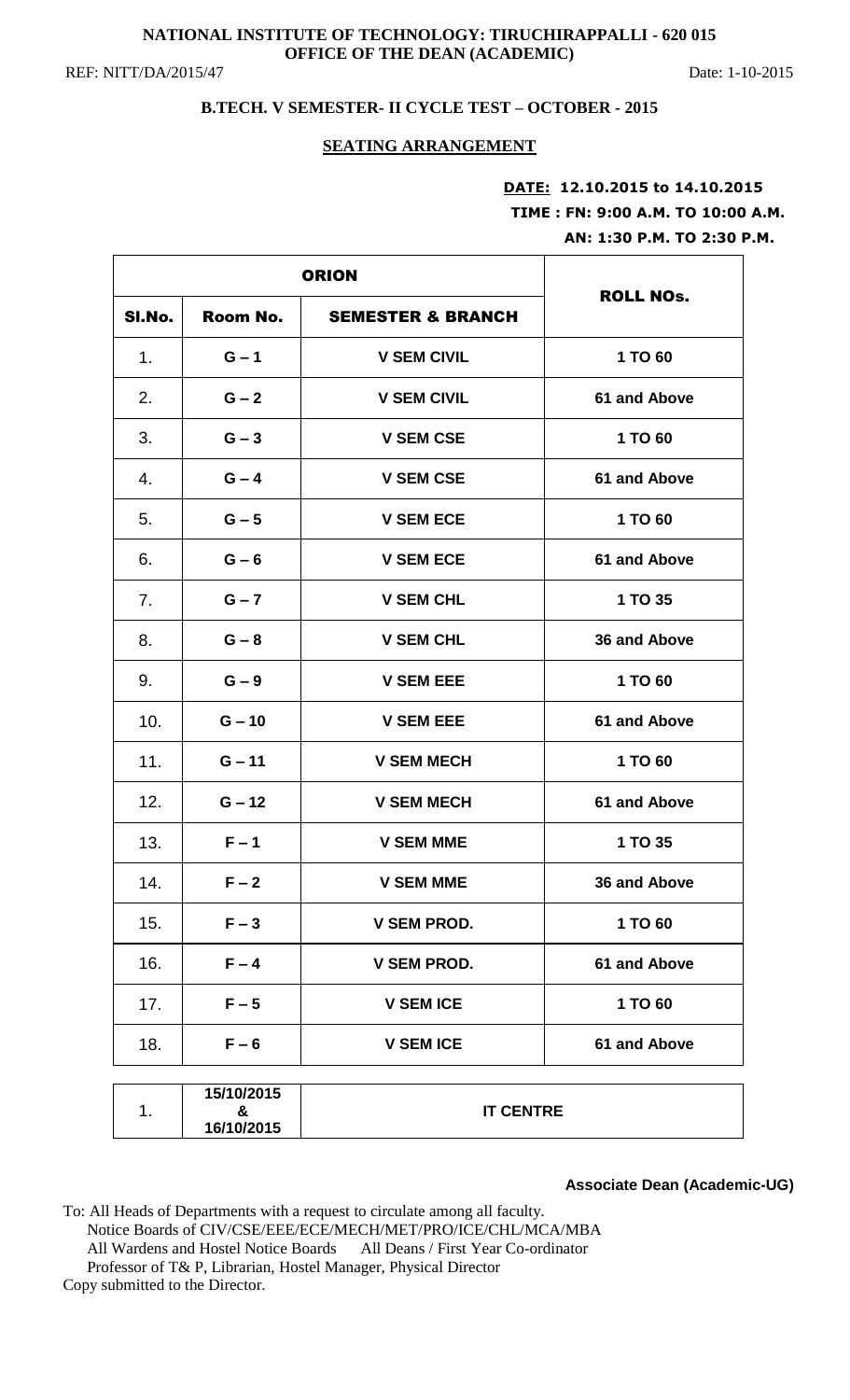# **NATIONAL INSTITUTE OF TECHNOLOGY: TIRUCHIRAPPALLI - 620 015 OFFICE OF THE DEAN (ACADEMIC)**

REF: NITT/DA/2015/47 Date: 1-10-2015

# **B.TECH. V SEMESTER- II CYCLE TEST – OCTOBER - 2015**

### **SEATING ARRANGEMENT**

# **DATE: 12.10.2015 to 14.10.2015 TIME : FN: 9:00 A.M. TO 10:00 A.M. AN: 1:30 P.M. TO 2:30 P.M.**

| <b>ORION</b>   |                               |                              |                  |
|----------------|-------------------------------|------------------------------|------------------|
| SI.No.         | Room No.                      | <b>SEMESTER &amp; BRANCH</b> | <b>ROLL NOS.</b> |
| 1 <sub>1</sub> | $G - 1$                       | <b>V SEM CIVIL</b>           | 1 TO 60          |
| 2.             | $G - 2$                       | <b>V SEM CIVIL</b>           | 61 and Above     |
| 3.             | $G - 3$                       | <b>V SEM CSE</b>             | 1 TO 60          |
| 4.             | $G - 4$                       | <b>V SEM CSE</b>             | 61 and Above     |
| 5.             | $G - 5$                       | <b>V SEM ECE</b>             | 1 TO 60          |
| 6.             | $G - 6$                       | <b>V SEM ECE</b>             | 61 and Above     |
| 7.             | $G - 7$                       | <b>V SEM CHL</b>             | 1 TO 35          |
| 8.             | $G - 8$                       | <b>V SEM CHL</b>             | 36 and Above     |
| 9.             | $G - 9$                       | <b>V SEM EEE</b>             | 1 TO 60          |
| 10.            | $G - 10$                      | <b>V SEM EEE</b>             | 61 and Above     |
| 11.            | $G - 11$                      | <b>V SEM MECH</b>            | 1 TO 60          |
| 12.            | $G - 12$                      | <b>V SEM MECH</b>            | 61 and Above     |
| 13.            | $F - 1$                       | <b>V SEM MME</b>             | 1 TO 35          |
| 14.            | $F - 2$                       | V SEM MME                    | 36 and Above     |
| 15.            | $F - 3$                       | <b>V SEM PROD.</b>           | 1 TO 60          |
| 16.            | $F - 4$                       | <b>V SEM PROD.</b>           | 61 and Above     |
| 17.            | $F - 5$                       | <b>V SEM ICE</b>             | 1 TO 60          |
| 18.            | $F - 6$                       | <b>V SEM ICE</b>             | 61 and Above     |
| 1.             | 15/10/2015<br>&<br>16/10/2015 | <b>IT CENTRE</b>             |                  |

**Associate Dean (Academic-UG)**

To: All Heads of Departments with a request to circulate among all faculty. Notice Boards of CIV/CSE/EEE/ECE/MECH/MET/PRO/ICE/CHL/MCA/MBA All Wardens and Hostel Notice Boards All Deans / First Year Co-ordinator Professor of T& P, Librarian, Hostel Manager, Physical Director

Copy submitted to the Director.